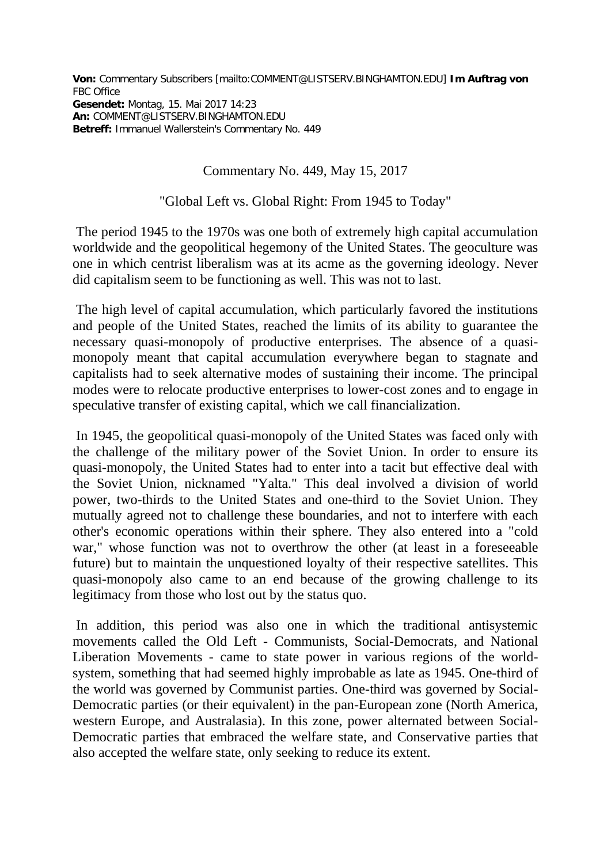**Von:** Commentary Subscribers [mailto:COMMENT@LISTSERV.BINGHAMTON.EDU] **Im Auftrag von**  FBC Office **Gesendet:** Montag, 15. Mai 2017 14:23 **An:** COMMENT@LISTSERV.BINGHAMTON.EDU **Betreff:** Immanuel Wallerstein's Commentary No. 449

## Commentary No. 449, May 15, 2017

## "Global Left vs. Global Right: From 1945 to Today"

The period 1945 to the 1970s was one both of extremely high capital accumulation worldwide and the geopolitical hegemony of the United States. The geoculture was one in which centrist liberalism was at its acme as the governing ideology. Never did capitalism seem to be functioning as well. This was not to last.

The high level of capital accumulation, which particularly favored the institutions and people of the United States, reached the limits of its ability to guarantee the necessary quasi-monopoly of productive enterprises. The absence of a quasimonopoly meant that capital accumulation everywhere began to stagnate and capitalists had to seek alternative modes of sustaining their income. The principal modes were to relocate productive enterprises to lower-cost zones and to engage in speculative transfer of existing capital, which we call financialization.

In 1945, the geopolitical quasi-monopoly of the United States was faced only with the challenge of the military power of the Soviet Union. In order to ensure its quasi-monopoly, the United States had to enter into a tacit but effective deal with the Soviet Union, nicknamed "Yalta." This deal involved a division of world power, two-thirds to the United States and one-third to the Soviet Union. They mutually agreed not to challenge these boundaries, and not to interfere with each other's economic operations within their sphere. They also entered into a "cold war," whose function was not to overthrow the other (at least in a foreseeable future) but to maintain the unquestioned loyalty of their respective satellites. This quasi-monopoly also came to an end because of the growing challenge to its legitimacy from those who lost out by the status quo.

In addition, this period was also one in which the traditional antisystemic movements called the Old Left - Communists, Social-Democrats, and National Liberation Movements - came to state power in various regions of the worldsystem, something that had seemed highly improbable as late as 1945. One-third of the world was governed by Communist parties. One-third was governed by Social-Democratic parties (or their equivalent) in the pan-European zone (North America, western Europe, and Australasia). In this zone, power alternated between Social-Democratic parties that embraced the welfare state, and Conservative parties that also accepted the welfare state, only seeking to reduce its extent.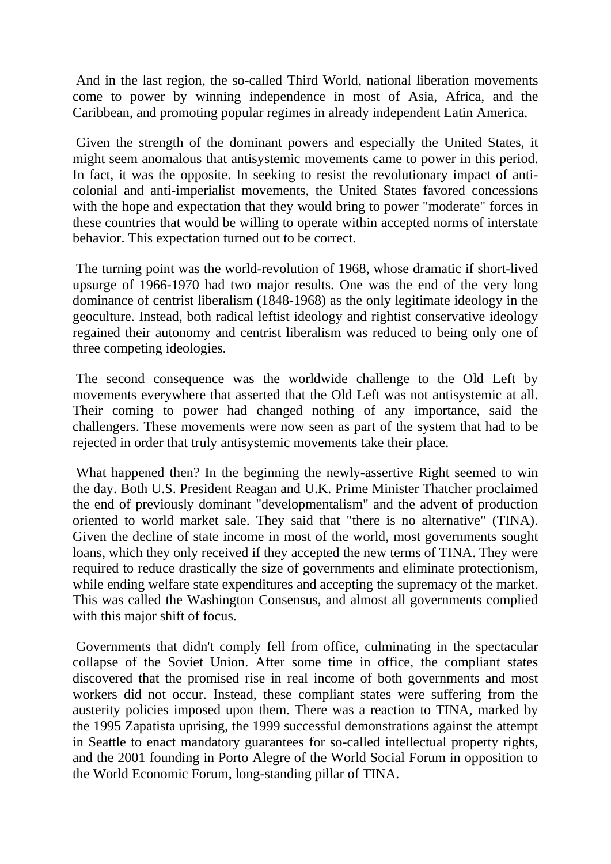And in the last region, the so-called Third World, national liberation movements come to power by winning independence in most of Asia, Africa, and the Caribbean, and promoting popular regimes in already independent Latin America.

Given the strength of the dominant powers and especially the United States, it might seem anomalous that antisystemic movements came to power in this period. In fact, it was the opposite. In seeking to resist the revolutionary impact of anticolonial and anti-imperialist movements, the United States favored concessions with the hope and expectation that they would bring to power "moderate" forces in these countries that would be willing to operate within accepted norms of interstate behavior. This expectation turned out to be correct.

The turning point was the world-revolution of 1968, whose dramatic if short-lived upsurge of 1966-1970 had two major results. One was the end of the very long dominance of centrist liberalism (1848-1968) as the only legitimate ideology in the geoculture. Instead, both radical leftist ideology and rightist conservative ideology regained their autonomy and centrist liberalism was reduced to being only one of three competing ideologies.

The second consequence was the worldwide challenge to the Old Left by movements everywhere that asserted that the Old Left was not antisystemic at all. Their coming to power had changed nothing of any importance, said the challengers. These movements were now seen as part of the system that had to be rejected in order that truly antisystemic movements take their place.

What happened then? In the beginning the newly-assertive Right seemed to win the day. Both U.S. President Reagan and U.K. Prime Minister Thatcher proclaimed the end of previously dominant "developmentalism" and the advent of production oriented to world market sale. They said that "there is no alternative" (TINA). Given the decline of state income in most of the world, most governments sought loans, which they only received if they accepted the new terms of TINA. They were required to reduce drastically the size of governments and eliminate protectionism, while ending welfare state expenditures and accepting the supremacy of the market. This was called the Washington Consensus, and almost all governments complied with this major shift of focus.

Governments that didn't comply fell from office, culminating in the spectacular collapse of the Soviet Union. After some time in office, the compliant states discovered that the promised rise in real income of both governments and most workers did not occur. Instead, these compliant states were suffering from the austerity policies imposed upon them. There was a reaction to TINA, marked by the 1995 Zapatista uprising, the 1999 successful demonstrations against the attempt in Seattle to enact mandatory guarantees for so-called intellectual property rights, and the 2001 founding in Porto Alegre of the World Social Forum in opposition to the World Economic Forum, long-standing pillar of TINA.